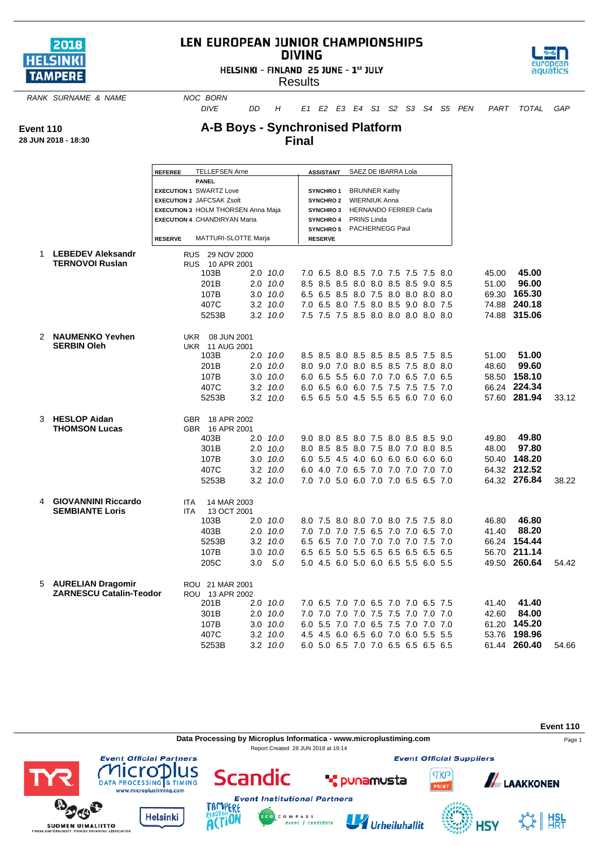

## LEN EUROPEAN JUNIOR CHAMPIONSHIPS **DIVING**

HELSINKI - FINLAND 25 JUNE - 1st JULY



**Results** 

**RANK SURNAME & NAME NOC BORN** 

*DIVE DD H E1 E2 E3 E4 S1 S2 S3 S4 S5 PEN PART TOTAL GAP*

**Event 110**

## **A-B Boys - Synchronised Platform Final**

| 28 JUN 2018 - 18:30 |  |
|---------------------|--|
|                     |  |

|               |                                                      | <b>REFEREE</b>  | <b>TELLEFSEN Arne</b>                     |     |                                     |  | <b>ASSISTANT</b>                        |  |                              |                         | SAEZ DE IBARRA Lola                 |  |  |  |       |              |       |
|---------------|------------------------------------------------------|-----------------|-------------------------------------------|-----|-------------------------------------|--|-----------------------------------------|--|------------------------------|-------------------------|-------------------------------------|--|--|--|-------|--------------|-------|
|               |                                                      |                 | <b>PANEL</b>                              |     |                                     |  | <b>SYNCHRO1</b><br><b>BRUNNER Kathy</b> |  |                              |                         |                                     |  |  |  |       |              |       |
|               |                                                      |                 | <b>EXECUTION 1 SWARTZ Love</b>            |     |                                     |  |                                         |  |                              |                         |                                     |  |  |  |       |              |       |
|               |                                                      |                 | <b>EXECUTION 2 JAFCSAK Zsolt</b>          |     |                                     |  |                                         |  |                              | SYNCHRO 2 WIERNIUK Anna |                                     |  |  |  |       |              |       |
|               |                                                      |                 | <b>EXECUTION 3 HOLM THORSEN Anna Maja</b> |     | <b>SYNCHRO3</b><br><b>SYNCHRO 4</b> |  |                                         |  | <b>HERNANDO FERRER Carla</b> |                         |                                     |  |  |  |       |              |       |
|               |                                                      |                 | <b>EXECUTION 4 CHANDIRYAN Maria</b>       |     |                                     |  |                                         |  |                              | PRINS Linda             |                                     |  |  |  |       |              |       |
|               |                                                      | <b>RESERVE</b>  | <b>MATTURI-SLOTTE Marja</b>               |     |                                     |  |                                         |  |                              |                         | SYNCHRO 5 PACHERNEGG Paul           |  |  |  |       |              |       |
|               |                                                      |                 |                                           |     |                                     |  | <b>RESERVE</b>                          |  |                              |                         |                                     |  |  |  |       |              |       |
| 1             | <b>LEBEDEV Aleksandr</b>                             |                 | RUS 29 NOV 2000                           |     |                                     |  |                                         |  |                              |                         |                                     |  |  |  |       |              |       |
|               | <b>TERNOVOI Ruslan</b>                               |                 | RUS 10 APR 2001<br>103B                   |     | 2.0 10.0                            |  |                                         |  |                              |                         | 7.0 6.5 8.0 8.5 7.0 7.5 7.5 7.5 8.0 |  |  |  | 45.00 | 45.00        |       |
|               |                                                      |                 | 201B                                      |     |                                     |  |                                         |  |                              |                         |                                     |  |  |  |       | 96.00        |       |
|               |                                                      |                 |                                           |     | $2.0$ $10.0$                        |  |                                         |  |                              |                         | 8.5 8.5 8.5 8.0 8.0 8.5 8.5 9.0 8.5 |  |  |  | 51.00 |              |       |
|               |                                                      |                 | 107B                                      |     | $3.0$ $10.0$                        |  |                                         |  |                              |                         | 6.5 6.5 8.5 8.0 7.5 8.0 8.0 8.0 8.0 |  |  |  | 69.30 | 165.30       |       |
|               |                                                      |                 | 407C                                      |     | $3.2$ $10.0$                        |  |                                         |  |                              |                         | 7.0 6.5 8.0 7.5 8.0 8.5 9.0 8.0 7.5 |  |  |  |       | 74.88 240.18 |       |
|               |                                                      |                 | 5253B                                     |     | $3.2 \quad 10.0$                    |  |                                         |  |                              |                         | 7.5 7.5 7.5 8.5 8.0 8.0 8.0 8.0 8.0 |  |  |  |       | 74.88 315.06 |       |
| $\mathcal{P}$ | <b>NAUMENKO Yevhen</b>                               |                 | UKR 08 JUN 2001                           |     |                                     |  |                                         |  |                              |                         |                                     |  |  |  |       |              |       |
|               | <b>SERBIN Oleh</b>                                   |                 | <b>UKR 11 AUG 2001</b>                    |     |                                     |  |                                         |  |                              |                         |                                     |  |  |  |       |              |       |
|               |                                                      |                 | 103B                                      |     | $2.0$ 10.0                          |  |                                         |  |                              |                         | 8.5 8.5 8.0 8.5 8.5 8.5 8.5 7.5 8.5 |  |  |  | 51.00 | 51.00        |       |
|               |                                                      |                 | 201B                                      |     | $2.0$ $10.0$                        |  |                                         |  |                              |                         | 8.0 9.0 7.0 8.0 8.5 8.5 7.5 8.0 8.0 |  |  |  | 48.60 | 99.60        |       |
|               |                                                      |                 | 107B                                      |     | $3.0$ $10.0$                        |  |                                         |  |                              |                         | 6.0 6.5 5.5 6.0 7.0 7.0 6.5 7.0 6.5 |  |  |  |       | 58.50 158.10 |       |
|               |                                                      |                 | 407C                                      |     | $3.2 \quad 10.0$                    |  |                                         |  |                              |                         | 6.0 6.5 6.0 6.0 7.5 7.5 7.5 7.5 7.0 |  |  |  |       | 66.24 224.34 |       |
|               |                                                      |                 | 5253B                                     |     | $3.2 \quad 10.0$                    |  |                                         |  |                              |                         | 6.5 6.5 5.0 4.5 5.5 6.5 6.0 7.0 6.0 |  |  |  |       | 57.60 281.94 | 33.12 |
|               |                                                      |                 |                                           |     |                                     |  |                                         |  |                              |                         |                                     |  |  |  |       |              |       |
| 3             | <b>HESLOP Aidan</b>                                  |                 | GBR 18 APR 2002                           |     |                                     |  |                                         |  |                              |                         |                                     |  |  |  |       |              |       |
|               | <b>THOMSON Lucas</b>                                 |                 | GBR 16 APR 2001                           |     |                                     |  |                                         |  |                              |                         |                                     |  |  |  |       |              |       |
|               |                                                      |                 | 403B                                      |     | $2.0$ 10.0                          |  |                                         |  |                              |                         | 9.0 8.0 8.5 8.0 7.5 8.0 8.5 8.5 9.0 |  |  |  | 49.80 | 49.80        |       |
|               |                                                      |                 | 301B                                      |     | $2.0$ $10.0$                        |  |                                         |  |                              |                         | 8.0 8.5 8.5 8.0 7.5 8.0 7.0 8.0 8.5 |  |  |  | 48.00 | 97.80        |       |
|               |                                                      |                 | 107B                                      |     | $3.0$ $10.0$                        |  |                                         |  |                              |                         | 6.0 5.5 4.5 4.0 6.0 6.0 6.0 6.0 6.0 |  |  |  |       | 50.40 148.20 |       |
|               |                                                      |                 | 407C                                      |     | $3.2$ $10.0$                        |  |                                         |  |                              |                         | 6.0 4.0 7.0 6.5 7.0 7.0 7.0 7.0 7.0 |  |  |  |       | 64.32 212.52 |       |
|               |                                                      |                 | 5253B                                     |     | $3.2$ $10.0$                        |  |                                         |  |                              |                         | 7.0 7.0 5.0 6.0 7.0 7.0 6.5 6.5 7.0 |  |  |  |       | 64.32 276.84 | 38.22 |
|               |                                                      |                 |                                           |     |                                     |  |                                         |  |                              |                         |                                     |  |  |  |       |              |       |
| 4             | <b>GIOVANNINI Riccardo</b><br><b>SEMBIANTE Loris</b> | ITA.            | 14 MAR 2003<br>13 OCT 2001                |     |                                     |  |                                         |  |                              |                         |                                     |  |  |  |       |              |       |
|               |                                                      | ITA.            | 103B                                      |     | $2.0$ $10.0$                        |  |                                         |  |                              |                         | 8.0 7.5 8.0 8.0 7.0 8.0 7.5 7.5 8.0 |  |  |  | 46.80 | 46.80        |       |
|               |                                                      |                 | 403B                                      |     | $2.0$ $10.0$                        |  |                                         |  |                              |                         | 7.0 7.0 7.0 7.5 6.5 7.0 7.0 6.5 7.0 |  |  |  | 41.40 | 88.20        |       |
|               |                                                      |                 | 5253B                                     |     |                                     |  |                                         |  |                              |                         |                                     |  |  |  |       | 154.44       |       |
|               |                                                      |                 |                                           |     | $3.2$ $10.0$                        |  |                                         |  |                              |                         | 6.5 6.5 7.0 7.0 7.0 7.0 7.0 7.5 7.0 |  |  |  | 66.24 |              |       |
|               |                                                      |                 | 107B                                      |     | 3.0 10.0                            |  |                                         |  |                              |                         | 6.5 6.5 5.0 5.5 6.5 6.5 6.5 6.5 6.5 |  |  |  |       | 56.70 211.14 |       |
|               |                                                      |                 | 205C                                      | 3.0 | 5.0                                 |  |                                         |  |                              |                         | 5.0 4.5 6.0 5.0 6.0 6.5 5.5 6.0 5.5 |  |  |  |       | 49.50 260.64 | 54.42 |
| 5             | <b>AURELIAN Dragomir</b>                             | ROU 21 MAR 2001 |                                           |     |                                     |  |                                         |  |                              |                         |                                     |  |  |  |       |              |       |
|               | <b>ZARNESCU Catalin-Teodor</b>                       |                 | ROU 13 APR 2002                           |     |                                     |  |                                         |  |                              |                         |                                     |  |  |  |       |              |       |
|               |                                                      |                 | 201B                                      |     | 2.0 10.0                            |  |                                         |  |                              |                         | 7.0 6.5 7.0 7.0 6.5 7.0 7.0 6.5 7.5 |  |  |  | 41.40 | 41.40        |       |
|               |                                                      |                 | 301B                                      |     | $2.0$ $10.0$                        |  |                                         |  |                              |                         | 7.0 7.0 7.0 7.0 7.5 7.5 7.0 7.0 7.0 |  |  |  | 42.60 | 84.00        |       |
|               |                                                      |                 | 107B                                      |     | $3.0$ $10.0$                        |  |                                         |  |                              |                         | 6.0 5.5 7.0 7.0 6.5 7.5 7.0 7.0 7.0 |  |  |  |       | 61.20 145.20 |       |
|               |                                                      |                 | 407C                                      |     | $3.2 \quad 10.0$                    |  |                                         |  |                              |                         | 4.5 4.5 6.0 6.5 6.0 7.0 6.0 5.5 5.5 |  |  |  | 53.76 | 198.96       |       |
|               |                                                      |                 | 5253B                                     |     | $3.2 \quad 10.0$                    |  |                                         |  |                              |                         | 6.0 5.0 6.5 7.0 7.0 6.5 6.5 6.5 6.5 |  |  |  |       | 61.44 260.40 | 54.66 |
|               |                                                      |                 |                                           |     |                                     |  |                                         |  |                              |                         |                                     |  |  |  |       |              |       |